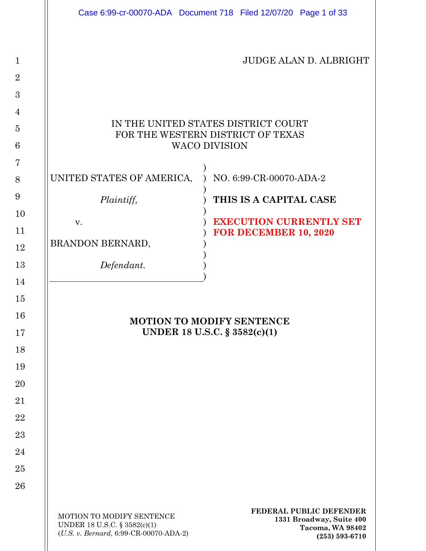|                                        |                                                                                                     | Case 6:99-cr-00070-ADA Document 718 Filed 12/07/20 Page 1 of 33                               |  |  |  |
|----------------------------------------|-----------------------------------------------------------------------------------------------------|-----------------------------------------------------------------------------------------------|--|--|--|
|                                        |                                                                                                     |                                                                                               |  |  |  |
| $\mathbf{1}$                           |                                                                                                     | <b>JUDGE ALAN D. ALBRIGHT</b>                                                                 |  |  |  |
| $\overline{2}$                         |                                                                                                     |                                                                                               |  |  |  |
| 3                                      |                                                                                                     |                                                                                               |  |  |  |
| $\overline{4}$                         |                                                                                                     |                                                                                               |  |  |  |
| $\overline{5}$                         | IN THE UNITED STATES DISTRICT COURT<br>FOR THE WESTERN DISTRICT OF TEXAS                            |                                                                                               |  |  |  |
| 6                                      | <b>WACO DIVISION</b>                                                                                |                                                                                               |  |  |  |
| $\overline{7}$                         |                                                                                                     |                                                                                               |  |  |  |
| 8                                      | UNITED STATES OF AMERICA,                                                                           | NO. 6:99-CR-00070-ADA-2                                                                       |  |  |  |
| 9                                      | Plaintiff,                                                                                          | THIS IS A CAPITAL CASE                                                                        |  |  |  |
| 10                                     | V.                                                                                                  | <b>EXECUTION CURRENTLY SET</b>                                                                |  |  |  |
| 11                                     | BRANDON BERNARD,                                                                                    | FOR DECEMBER 10, 2020                                                                         |  |  |  |
| 12                                     |                                                                                                     |                                                                                               |  |  |  |
| 13<br>14                               | Defendant.                                                                                          |                                                                                               |  |  |  |
| 15<br>16<br>17<br>18<br>19<br>20<br>21 | <b>MOTION TO MODIFY SENTENCE</b><br>UNDER 18 U.S.C. § 3582(c)(1)                                    |                                                                                               |  |  |  |
| 22                                     |                                                                                                     |                                                                                               |  |  |  |
| 23                                     |                                                                                                     |                                                                                               |  |  |  |
| 24                                     |                                                                                                     |                                                                                               |  |  |  |
| 25                                     |                                                                                                     |                                                                                               |  |  |  |
| 26                                     |                                                                                                     |                                                                                               |  |  |  |
|                                        | MOTION TO MODIFY SENTENCE<br>UNDER 18 U.S.C. § 3582(c)(1)<br>(U.S. v. Bernard, 6:99-CR-00070-ADA-2) | FEDERAL PUBLIC DEFENDER<br>1331 Broadway, Suite 400<br>Tacoma, WA 98402<br>$(253) 593 - 6710$ |  |  |  |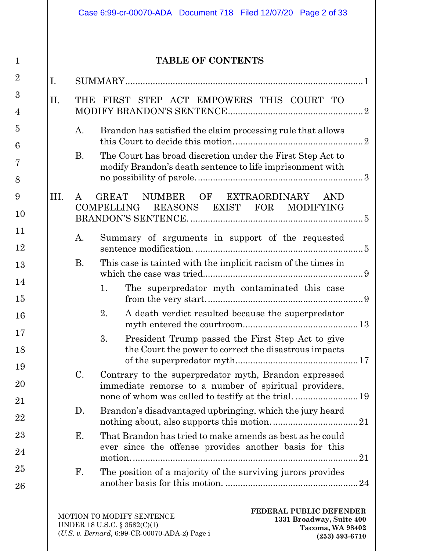|                      | <b>TABLE OF CONTENTS</b>                                                                                                |
|----------------------|-------------------------------------------------------------------------------------------------------------------------|
| I.                   |                                                                                                                         |
| II.                  | THE FIRST STEP ACT EMPOWERS THIS COURT TO                                                                               |
| A.                   | Brandon has satisfied the claim processing rule that allows                                                             |
| <b>B.</b>            | The Court has broad discretion under the First Step Act to<br>modify Brandon's death sentence to life imprisonment with |
| III.<br>$\mathbf{A}$ | GREAT NUMBER OF EXTRAORDINARY AND                                                                                       |
|                      | COMPELLING REASONS EXIST FOR MODIFYING                                                                                  |
| A.                   | Summary of arguments in support of the requested                                                                        |
| <b>B.</b>            | This case is tainted with the implicit racism of the times in                                                           |
|                      | The superpredator myth contaminated this case<br>1.                                                                     |
|                      | 2. A death verdict resulted because the superpredator                                                                   |
|                      | President Trump passed the First Step Act to give<br>3.<br>the Court the power to correct the disastrous impacts        |
| $\mathbf{C}$ .       | Contrary to the superpredator myth, Brandon expressed<br>immediate remorse to a number of spiritual providers,          |
|                      | Brandon's disadvantaged upbringing, which the jury heard                                                                |
| D.                   |                                                                                                                         |
| Е.                   | That Brandon has tried to make amends as best as he could<br>ever since the offense provides another basis for this     |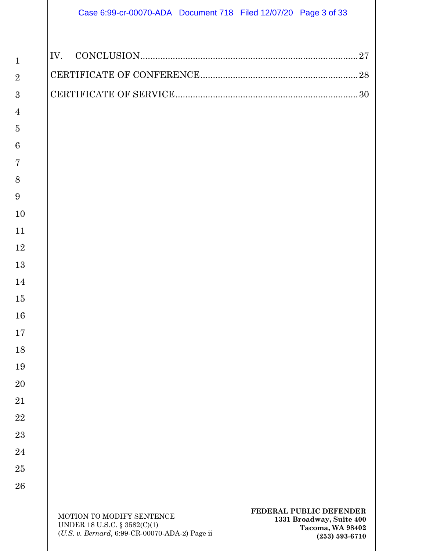| Case 6:99-cr-00070-ADA  Document 718  Filed 12/07/20  Page 3 of 33 |  |  |
|--------------------------------------------------------------------|--|--|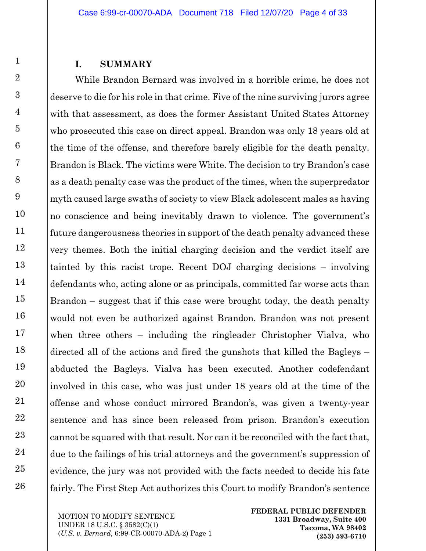#### **I. SUMMARY**

<span id="page-3-0"></span>While Brandon Bernard was involved in a horrible crime, he does not deserve to die for his role in that crime. Five of the nine surviving jurors agree with that assessment, as does the former Assistant United States Attorney who prosecuted this case on direct appeal. Brandon was only 18 years old at the time of the offense, and therefore barely eligible for the death penalty. Brandon is Black. The victims were White. The decision to try Brandon's case as a death penalty case was the product of the times, when the superpredator myth caused large swaths of society to view Black adolescent males as having no conscience and being inevitably drawn to violence. The government's future dangerousness theories in support of the death penalty advanced these very themes. Both the initial charging decision and the verdict itself are tainted by this racist trope. Recent DOJ charging decisions – involving defendants who, acting alone or as principals, committed far worse acts than Brandon – suggest that if this case were brought today, the death penalty would not even be authorized against Brandon. Brandon was not present when three others – including the ringleader Christopher Vialva, who directed all of the actions and fired the gunshots that killed the Bagleys – abducted the Bagleys. Vialva has been executed. Another codefendant involved in this case, who was just under 18 years old at the time of the offense and whose conduct mirrored Brandon's, was given a twenty-year sentence and has since been released from prison. Brandon's execution cannot be squared with that result. Nor can it be reconciled with the fact that, due to the failings of his trial attorneys and the government's suppression of evidence, the jury was not provided with the facts needed to decide his fate fairly. The First Step Act authorizes this Court to modify Brandon's sentence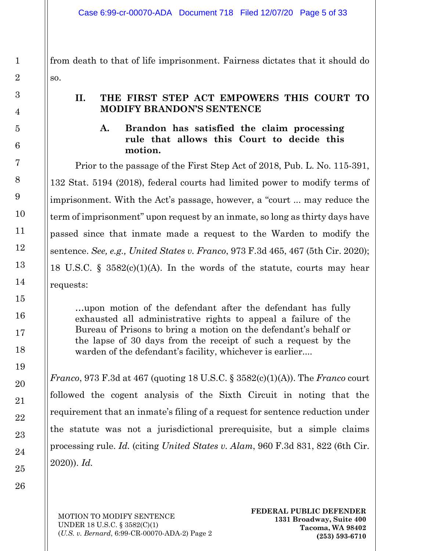from death to that of life imprisonment. Fairness dictates that it should do so.

### <span id="page-4-1"></span><span id="page-4-0"></span>**II. THE FIRST STEP ACT EMPOWERS THIS COURT TO MODIFY BRANDON'S SENTENCE**

#### **A. Brandon has satisfied the claim processing rule that allows this Court to decide this motion.**

Prior to the passage of the First Step Act of 2018, Pub. L. No. 115-391, 132 Stat. 5194 (2018), federal courts had limited power to modify terms of imprisonment. With the Act's passage, however, a "court ... may reduce the term of imprisonment" upon request by an inmate, so long as thirty days have passed since that inmate made a request to the Warden to modify the sentence. *See, e.g., United States v. Franco*, 973 F.3d 465, 467 (5th Cir. 2020); 18 U.S.C. § 3582(c)(1)(A). In the words of the statute, courts may hear requests:

…upon motion of the defendant after the defendant has fully exhausted all administrative rights to appeal a failure of the Bureau of Prisons to bring a motion on the defendant's behalf or the lapse of 30 days from the receipt of such a request by the warden of the defendant's facility, whichever is earlier....

*Franco*, 973 F.3d at 467 (quoting 18 U.S.C. § 3582(c)(1)(A)). The *Franco* court followed the cogent analysis of the Sixth Circuit in noting that the requirement that an inmate's filing of a request for sentence reduction under the statute was not a jurisdictional prerequisite, but a simple claims processing rule. *Id.* (citing *United States v. Alam*, 960 F.3d 831, 822 (6th Cir. 2020)). *Id.*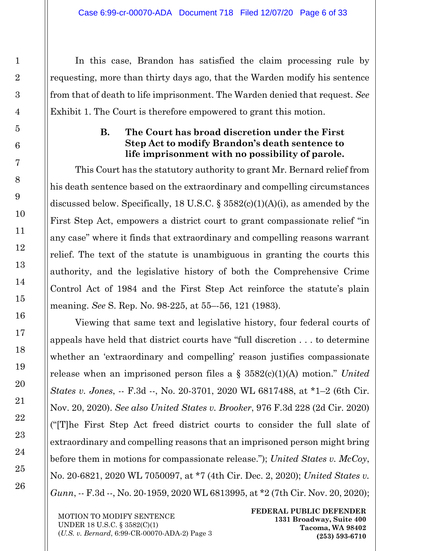In this case, Brandon has satisfied the claim processing rule by requesting, more than thirty days ago, that the Warden modify his sentence from that of death to life imprisonment. The Warden denied that request. *See* Exhibit 1. The Court is therefore empowered to grant this motion.

## **B. The Court has broad discretion under the First Step Act to modify Brandon's death sentence to life imprisonment with no possibility of parole.**

<span id="page-5-0"></span>This Court has the statutory authority to grant Mr. Bernard relief from his death sentence based on the extraordinary and compelling circumstances discussed below. Specifically, 18 U.S.C. § 3582(c)(1)(A)(i), as amended by the First Step Act, empowers a district court to grant compassionate relief "in any case" where it finds that extraordinary and compelling reasons warrant relief. The text of the statute is unambiguous in granting the courts this authority, and the legislative history of both the Comprehensive Crime Control Act of 1984 and the First Step Act reinforce the statute's plain meaning. *See* S. Rep. No. 98-225, at 55–-56, 121 (1983).

Viewing that same text and legislative history, four federal courts of appeals have held that district courts have "full discretion . . . to determine whether an 'extraordinary and compelling' reason justifies compassionate release when an imprisoned person files a § 3582(c)(1)(A) motion." *United States v. Jones*, -- F.3d --, No. 20-3701, 2020 WL 6817488, at \*1–2 (6th Cir. Nov. 20, 2020). *See also United States v. Brooker*, 976 F.3d 228 (2d Cir. 2020) ("[T]he First Step Act freed district courts to consider the full slate of extraordinary and compelling reasons that an imprisoned person might bring before them in motions for compassionate release."); *United States v. McCoy*, No. 20-6821, 2020 WL 7050097, at \*7 (4th Cir. Dec. 2, 2020); *United States v. Gunn*, -- F.3d --, No. 20-1959, 2020 WL 6813995, at \*2 (7th Cir. Nov. 20, 2020);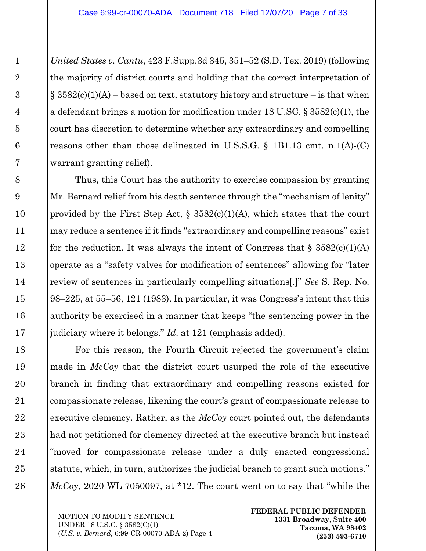*United States v. Cantu*, 423 F.Supp.3d 345, 351–52 (S.D. Tex. 2019) (following the majority of district courts and holding that the correct interpretation of  $\S$  3582(c)(1)(A) – based on text, statutory history and structure – is that when a defendant brings a motion for modification under 18 U.SC. § 3582(c)(1), the court has discretion to determine whether any extraordinary and compelling reasons other than those delineated in U.S.S.G. § 1B1.13 cmt. n.1(A)-(C) warrant granting relief).

Thus, this Court has the authority to exercise compassion by granting Mr. Bernard relief from his death sentence through the "mechanism of lenity" provided by the First Step Act,  $\S$  3582(c)(1)(A), which states that the court may reduce a sentence if it finds "extraordinary and compelling reasons" exist for the reduction. It was always the intent of Congress that  $\S 3582(c)(1)(A)$ operate as a "safety valves for modification of sentences" allowing for "later review of sentences in particularly compelling situations[.]" *See* S. Rep. No. 98–225, at 55–56, 121 (1983). In particular, it was Congress's intent that this authority be exercised in a manner that keeps "the sentencing power in the judiciary where it belongs." *Id*. at 121 (emphasis added).

For this reason, the Fourth Circuit rejected the government's claim made in *McCoy* that the district court usurped the role of the executive branch in finding that extraordinary and compelling reasons existed for compassionate release, likening the court's grant of compassionate release to executive clemency. Rather, as the *McCoy* court pointed out, the defendants had not petitioned for clemency directed at the executive branch but instead "moved for compassionate release under a duly enacted congressional statute, which, in turn, authorizes the judicial branch to grant such motions." *McCoy*, 2020 WL 7050097, at \*12. The court went on to say that "while the

MOTION TO MODIFY SENTENCE UNDER 18 U.S.C. § 3582(C)(1) (*U.S. v. Bernard*, 6:99-CR-00070-ADA-2) Page 4 **FEDERAL PUBLIC DEFENDER 1331 Broadway, Suite 400 Tacoma, WA 98402 (253) 593-6710**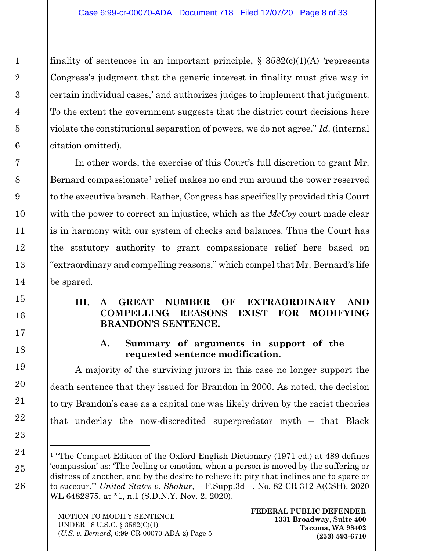finality of sentences in an important principle,  $\S$  3582(c)(1)(A) 'represents Congress's judgment that the generic interest in finality must give way in certain individual cases,' and authorizes judges to implement that judgment. To the extent the government suggests that the district court decisions here violate the constitutional separation of powers, we do not agree." *Id*. (internal citation omitted).

In other words, the exercise of this Court's full discretion to grant Mr. Bernard compassionate<sup>[1](#page-7-2)</sup> relief makes no end run around the power reserved to the executive branch. Rather, Congress has specifically provided this Court with the power to correct an injustice, which as the *McCoy* court made clear is in harmony with our system of checks and balances. Thus the Court has the statutory authority to grant compassionate relief here based on "extraordinary and compelling reasons," which compel that Mr. Bernard's life be spared.

#### <span id="page-7-0"></span>**III. A GREAT NUMBER OF EXTRAORDINARY AND COMPELLING REASONS EXIST FOR MODIFYING BRANDON'S SENTENCE.**

#### **A. Summary of arguments in support of the requested sentence modification.**

<span id="page-7-1"></span>A majority of the surviving jurors in this case no longer support the death sentence that they issued for Brandon in 2000. As noted, the decision to try Brandon's case as a capital one was likely driven by the racist theories that underlay the now-discredited superpredator myth – that Black

<span id="page-7-2"></span><sup>&</sup>lt;sup>1</sup> "The Compact Edition of the Oxford English Dictionary (1971 ed.) at 489 defines 'compassion' as: 'The feeling or emotion, when a person is moved by the suffering or distress of another, and by the desire to relieve it; pity that inclines one to spare or to succour.'" *United States v. Shakur*, -- F.Supp.3d --, No. 82 CR 312 A(CSH), 2020 WL 6482875, at \*1, n.1 (S.D.N.Y. Nov. 2, 2020).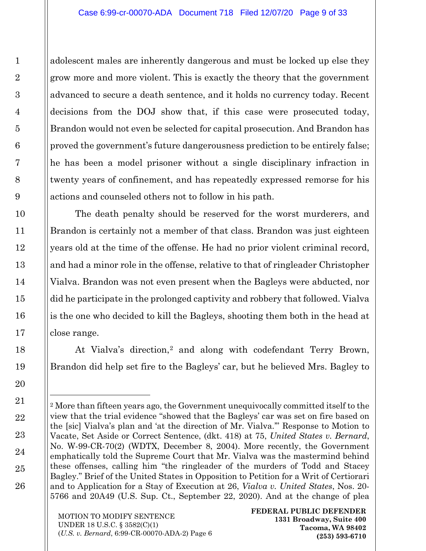adolescent males are inherently dangerous and must be locked up else they grow more and more violent. This is exactly the theory that the government advanced to secure a death sentence, and it holds no currency today. Recent decisions from the DOJ show that, if this case were prosecuted today, Brandon would not even be selected for capital prosecution. And Brandon has proved the government's future dangerousness prediction to be entirely false; he has been a model prisoner without a single disciplinary infraction in twenty years of confinement, and has repeatedly expressed remorse for his actions and counseled others not to follow in his path.

The death penalty should be reserved for the worst murderers, and Brandon is certainly not a member of that class. Brandon was just eighteen years old at the time of the offense. He had no prior violent criminal record, and had a minor role in the offense, relative to that of ringleader Christopher Vialva. Brandon was not even present when the Bagleys were abducted, nor did he participate in the prolonged captivity and robbery that followed. Vialva is the one who decided to kill the Bagleys, shooting them both in the head at close range.

At Vialva's direction,<sup>[2](#page-8-0)</sup> and along with codefendant Terry Brown, Brandon did help set fire to the Bagleys' car, but he believed Mrs. Bagley to

<span id="page-8-0"></span><sup>2</sup> More than fifteen years ago, the Government unequivocally committed itself to the view that the trial evidence "showed that the Bagleys' car was set on fire based on the [sic] Vialva's plan and 'at the direction of Mr. Vialva.'" Response to Motion to Vacate, Set Aside or Correct Sentence, (dkt. 418) at 75, *United States v. Bernard*, No. W-99-CR-70(2) (WDTX, December 8, 2004). More recently, the Government emphatically told the Supreme Court that Mr. Vialva was the mastermind behind these offenses, calling him "the ringleader of the murders of Todd and Stacey Bagley." Brief of the United States in Opposition to Petition for a Writ of Certiorari and to Application for a Stay of Execution at 26, *Vialva v. United States*, Nos. 20- 5766 and 20A49 (U.S. Sup. Ct., September 22, 2020). And at the change of plea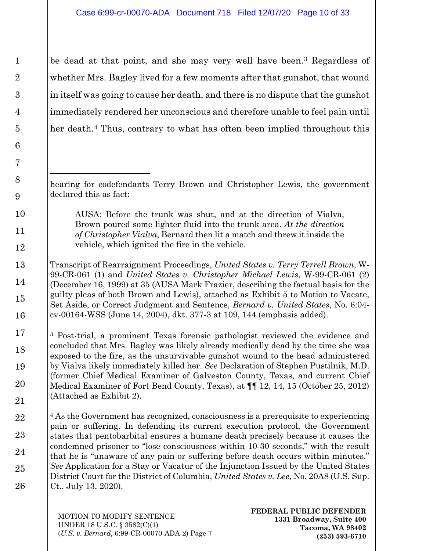be dead at that point, and she may very well have been.[3](#page-9-0) Regardless of whether Mrs. Bagley lived for a few moments after that gunshot, that wound in itself was going to cause her death, and there is no dispute that the gunshot immediately rendered her unconscious and therefore unable to feel pain until her death.<sup>[4](#page-9-1)</sup> Thus, contrary to what has often been implied throughout this

hearing for codefendants Terry Brown and Christopher Lewis, the government declared this as fact:

AUSA: Before the trunk was shut, and at the direction of Vialva, Brown poured some lighter fluid into the trunk area. *At the direction of Christopher Vialva*, Bernard then lit a match and threw it inside the vehicle, which ignited the fire in the vehicle.

Transcript of Rearraignment Proceedings, *United States v. Terry Terrell Brown*, W-99-CR-061 (1) and *United States v. Christopher Michael Lewis*, W-99-CR-061 (2) (December 16, 1999) at 35 (AUSA Mark Frazier, describing the factual basis for the guilty pleas of both Brown and Lewis), attached as Exhibit 5 to Motion to Vacate, Set Aside, or Correct Judgment and Sentence, *Bernard v. United States*, No. 6:04 cv-00164-WSS (June 14, 2004), dkt. 377-3 at 109, 144 (emphasis added).

<span id="page-9-0"></span><sup>3</sup> Post-trial, a prominent Texas forensic pathologist reviewed the evidence and concluded that Mrs. Bagley was likely already medically dead by the time she was exposed to the fire, as the unsurvivable gunshot wound to the head administered by Vialva likely immediately killed her. *See* Declaration of Stephen Pustilnik, M.D. (former Chief Medical Examiner of Galveston County, Texas, and current Chief Medical Examiner of Fort Bend County, Texas), at ¶¶ 12, 14, 15 (October 25, 2012) (Attached as Exhibit 2).

<span id="page-9-1"></span><sup>4</sup> As the Government has recognized, consciousness is a prerequisite to experiencing pain or suffering. In defending its current execution protocol, the Government states that pentobarbital ensures a humane death precisely because it causes the condemned prisoner to "lose consciousness within 10-30 seconds," with the result that he is "unaware of any pain or suffering before death occurs within minutes." *See* Application for a Stay or Vacatur of the Injunction Issued by the United States District Court for the District of Columbia, *United States v. Lee*, No. 20A8 (U.S. Sup. Ct., July 13, 2020).

MOTION TO MODIFY SENTENCE UNDER 18 U.S.C. § 3582(C)(1) (*U.S. v. Bernard*, 6:99-CR-00070-ADA-2) Page 7 **FEDERAL PUBLIC DEFENDER 1331 Broadway, Suite 400 Tacoma, WA 98402 (253) 593-6710**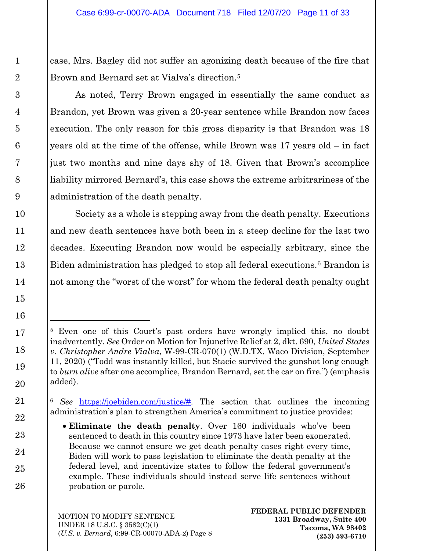case, Mrs. Bagley did not suffer an agonizing death because of the fire that Brown and Bernard set at Vialva's direction.<sup>[5](#page-10-0)</sup>

As noted, Terry Brown engaged in essentially the same conduct as Brandon, yet Brown was given a 20-year sentence while Brandon now faces execution. The only reason for this gross disparity is that Brandon was 18 years old at the time of the offense, while Brown was 17 years old – in fact just two months and nine days shy of 18. Given that Brown's accomplice liability mirrored Bernard's, this case shows the extreme arbitrariness of the administration of the death penalty.

Society as a whole is stepping away from the death penalty. Executions and new death sentences have both been in a steep decline for the last two decades. Executing Brandon now would be especially arbitrary, since the Biden administration has pledged to stop all federal executions.<sup>[6](#page-10-1)</sup> Brandon is not among the "worst of the worst" for whom the federal death penalty ought

<span id="page-10-0"></span><sup>5</sup> Even one of this Court's past orders have wrongly implied this, no doubt inadvertently. *See* Order on Motion for Injunctive Relief at 2, dkt. 690, *United States v. Christopher Andre Vialva*, W-99-CR-070(1) (W.D.TX, Waco Division, September 11, 2020) ("Todd was instantly killed, but Stacie survived the gunshot long enough to *burn alive* after one accomplice, Brandon Bernard, set the car on fire.") (emphasis added).

<span id="page-10-1"></span><sup>6</sup> *See* [https://joebiden.com/justice/#.](https://joebiden.com/justice/) The section that outlines the incoming administration's plan to strengthen America's commitment to justice provides:

<sup>•</sup> **Eliminate the death penalty**. Over 160 individuals who've been sentenced to death in this country since 1973 have later been exonerated. Because we cannot ensure we get death penalty cases right every time, Biden will work to pass legislation to eliminate the death penalty at the federal level, and incentivize states to follow the federal government's example. These individuals should instead serve life sentences without probation or parole.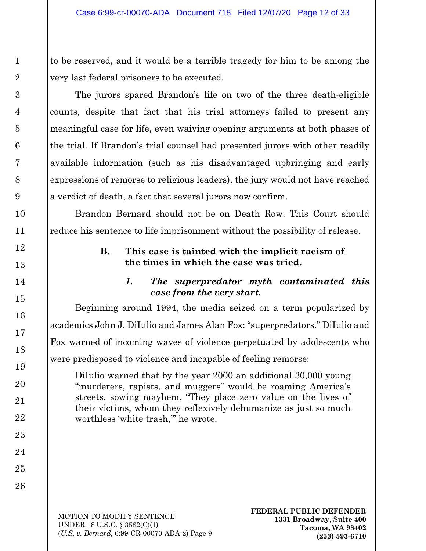to be reserved, and it would be a terrible tragedy for him to be among the very last federal prisoners to be executed.

The jurors spared Brandon's life on two of the three death-eligible counts, despite that fact that his trial attorneys failed to present any meaningful case for life, even waiving opening arguments at both phases of the trial. If Brandon's trial counsel had presented jurors with other readily available information (such as his disadvantaged upbringing and early expressions of remorse to religious leaders), the jury would not have reached a verdict of death, a fact that several jurors now confirm.

<span id="page-11-0"></span>Brandon Bernard should not be on Death Row. This Court should reduce his sentence to life imprisonment without the possibility of release.

### **B. This case is tainted with the implicit racism of the times in which the case was tried.**

## *1. The superpredator myth contaminated this case from the very start.*

<span id="page-11-1"></span>Beginning around 1994, the media seized on a term popularized by academics John J. DiIulio and James Alan Fox: "superpredators." DiIulio and Fox warned of incoming waves of violence perpetuated by adolescents who were predisposed to violence and incapable of feeling remorse:

DiIulio warned that by the year 2000 an additional 30,000 young "murderers, rapists, and muggers" would be roaming America's streets, sowing mayhem. "They place zero value on the lives of their victims, whom they reflexively dehumanize as just so much worthless 'white trash,'" he wrote.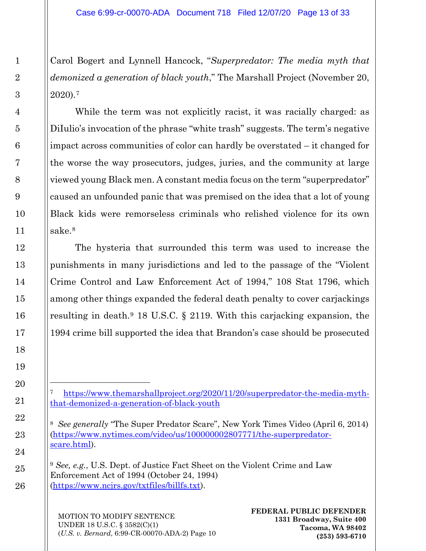Carol Bogert and Lynnell Hancock, "*Superpredator: The media myth that demonized a generation of black youth*," The Marshall Project (November 20, 2020).[7](#page-12-0)

While the term was not explicitly racist, it was racially charged: as DiIulio's invocation of the phrase "white trash" suggests. The term's negative impact across communities of color can hardly be overstated – it changed for the worse the way prosecutors, judges, juries, and the community at large viewed young Black men. A constant media focus on the term "superpredator" caused an unfounded panic that was premised on the idea that a lot of young Black kids were remorseless criminals who relished violence for its own sake.[8](#page-12-1)

The hysteria that surrounded this term was used to increase the punishments in many jurisdictions and led to the passage of the "Violent Crime Control and Law Enforcement Act of 1994," 108 Stat 1796, which among other things expanded the federal death penalty to cover carjackings resulting in death.[9](#page-12-2) 18 U.S.C. § 2119. With this carjacking expansion, the 1994 crime bill supported the idea that Brandon's case should be prosecuted

MOTION TO MODIFY SENTENCE UNDER 18 U.S.C. § 3582(C)(1) (*U.S. v. Bernard*, 6:99-CR-00070-ADA-2) Page 10

<span id="page-12-0"></span>[https://www.themarshallproject.org/2020/11/20/superpredator-the-media-myth](https://www.themarshallproject.org/2020/11/20/superpredator-the-media-myth-that-demonized-a-generation-of-black-youth)[that-demonized-a-generation-of-black-youth](https://www.themarshallproject.org/2020/11/20/superpredator-the-media-myth-that-demonized-a-generation-of-black-youth)

<span id="page-12-1"></span><sup>8</sup> *See generally* "The Super Predator Scare", New York Times Video (April 6, 2014) [\(https://www.nytimes.com/video/us/100000002807771/the-superpredator](https://www.nytimes.com/video/us/100000002807771/the-superpredator-scare.html)[scare.html\)](https://www.nytimes.com/video/us/100000002807771/the-superpredator-scare.html).

<span id="page-12-2"></span><sup>9</sup> *See, e.g.*, U.S. Dept. of Justice Fact Sheet on the Violent Crime and Law Enforcement Act of 1994 (October 24, 1994) [\(https://www.ncjrs.gov/txtfiles/billfs.txt\)](https://www.ncjrs.gov/txtfiles/billfs.txt).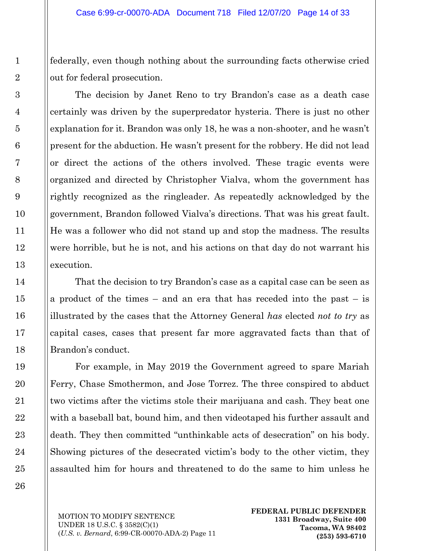federally, even though nothing about the surrounding facts otherwise cried out for federal prosecution.

The decision by Janet Reno to try Brandon's case as a death case certainly was driven by the superpredator hysteria. There is just no other explanation for it. Brandon was only 18, he was a non-shooter, and he wasn't present for the abduction. He wasn't present for the robbery. He did not lead or direct the actions of the others involved. These tragic events were organized and directed by Christopher Vialva, whom the government has rightly recognized as the ringleader. As repeatedly acknowledged by the government, Brandon followed Vialva's directions. That was his great fault. He was a follower who did not stand up and stop the madness. The results were horrible, but he is not, and his actions on that day do not warrant his execution.

That the decision to try Brandon's case as a capital case can be seen as a product of the times – and an era that has receded into the past – is illustrated by the cases that the Attorney General *has* elected *not to try* as capital cases, cases that present far more aggravated facts than that of Brandon's conduct.

For example, in May 2019 the Government agreed to spare Mariah Ferry, Chase Smothermon, and Jose Torrez. The three conspired to abduct two victims after the victims stole their marijuana and cash. They beat one with a baseball bat, bound him, and then videotaped his further assault and death. They then committed "unthinkable acts of desecration" on his body. Showing pictures of the desecrated victim's body to the other victim, they assaulted him for hours and threatened to do the same to him unless he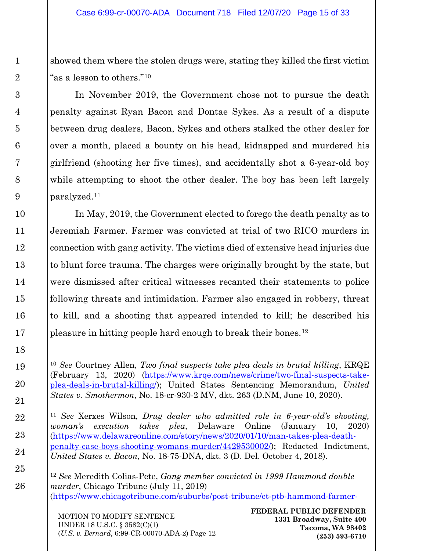showed them where the stolen drugs were, stating they killed the first victim "as a lesson to others."[10](#page-14-0)

In November 2019, the Government chose not to pursue the death penalty against Ryan Bacon and Dontae Sykes. As a result of a dispute between drug dealers, Bacon, Sykes and others stalked the other dealer for over a month, placed a bounty on his head, kidnapped and murdered his girlfriend (shooting her five times), and accidentally shot a 6-year-old boy while attempting to shoot the other dealer. The boy has been left largely paralyzed.[11](#page-14-1)

In May, 2019, the Government elected to forego the death penalty as to Jeremiah Farmer. Farmer was convicted at trial of two RICO murders in connection with gang activity. The victims died of extensive head injuries due to blunt force trauma. The charges were originally brought by the state, but were dismissed after critical witnesses recanted their statements to police following threats and intimidation. Farmer also engaged in robbery, threat to kill, and a shooting that appeared intended to kill; he described his pleasure in hitting people hard enough to break their bones.[12](#page-14-2)

<span id="page-14-2"></span><sup>12</sup> *See* Meredith Colias-Pete, *Gang member convicted in 1999 Hammond double murder*, Chicago Tribune (July 11, 2019) [\(https://www.chicagotribune.com/suburbs/post-tribune/ct-ptb-hammond-farmer-](https://www.chicagotribune.com/suburbs/post-tribune/ct-ptb-hammond-farmer-sentence-st-0711-20190711-32s7ti6nkbgzzd33rxhrt4wr4i-story.html)

<span id="page-14-0"></span><sup>10</sup> *See* Courtney Allen, *Two final suspects take plea deals in brutal killing*, KRQE (February 13, 2020) [\(https://www.krqe.com/news/crime/two-final-suspects-take](https://www.krqe.com/news/crime/two-final-suspects-take-plea-deals-in-brutal-killing/)[plea-deals-in-brutal-killing/\)](https://www.krqe.com/news/crime/two-final-suspects-take-plea-deals-in-brutal-killing/); United States Sentencing Memorandum, *United States v. Smothermon*, No. 18-cr-930-2 MV, dkt. 263 (D.NM, June 10, 2020).

<span id="page-14-1"></span><sup>11</sup> *See* Xerxes Wilson, *Drug dealer who admitted role in 6-year-old's shooting, woman's execution takes plea*, Delaware Online (January 10, 2020) [\(https://www.delawareonline.com/story/news/2020/01/10/man-takes-plea-death](https://www.delawareonline.com/story/news/2020/01/10/man-takes-plea-death-penalty-case-boys-shooting-womans-murder/4429530002/)[penalty-case-boys-shooting-womans-murder/4429530002/\)](https://www.delawareonline.com/story/news/2020/01/10/man-takes-plea-death-penalty-case-boys-shooting-womans-murder/4429530002/); Redacted Indictment, *United States v. Bacon*, No. 18-75-DNA, dkt. 3 (D. Del. October 4, 2018).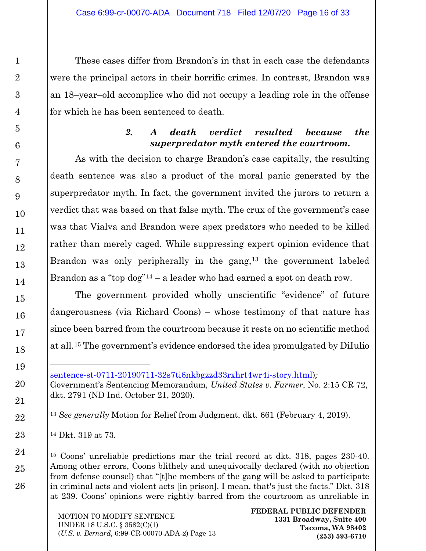These cases differ from Brandon's in that in each case the defendants were the principal actors in their horrific crimes. In contrast, Brandon was an 18–year–old accomplice who did not occupy a leading role in the offense for which he has been sentenced to death.

#### *2. A death verdict resulted because the superpredator myth entered the courtroom.*

<span id="page-15-0"></span>As with the decision to charge Brandon's case capitally, the resulting death sentence was also a product of the moral panic generated by the superpredator myth. In fact, the government invited the jurors to return a verdict that was based on that false myth. The crux of the government's case was that Vialva and Brandon were apex predators who needed to be killed rather than merely caged. While suppressing expert opinion evidence that Brandon was only peripherally in the gang,<sup>[13](#page-15-1)</sup> the government labeled Brandon as a "top  $\log^{n} 14 - a$  $\log^{n} 14 - a$  $\log^{n} 14 - a$  leader who had earned a spot on death row.

The government provided wholly unscientific "evidence" of future dangerousness (via Richard Coons) – whose testimony of that nature has since been barred from the courtroom because it rests on no scientific method at all.[15](#page-15-3) The government's evidence endorsed the idea promulgated by DiIulio

<span id="page-15-1"></span><sup>13</sup> *See generally* Motion for Relief from Judgment, dkt. 661 (February 4, 2019).

<span id="page-15-2"></span><sup>14</sup> Dkt. 319 at 73.

l

<span id="page-15-3"></span><sup>15</sup> Coons' unreliable predictions mar the trial record at dkt. 318, pages 230-40. Among other errors, Coons blithely and unequivocally declared (with no objection from defense counsel) that "[t]he members of the gang will be asked to participate in criminal acts and violent acts [in prison]. I mean, that's just the facts." Dkt. 318 at 239. Coons' opinions were rightly barred from the courtroom as unreliable in

[sentence-st-0711-20190711-32s7ti6nkbgzzd33rxhrt4wr4i-story.html\)](https://www.chicagotribune.com/suburbs/post-tribune/ct-ptb-hammond-farmer-sentence-st-0711-20190711-32s7ti6nkbgzzd33rxhrt4wr4i-story.html)*;*  Government's Sentencing Memorandum*, United States v. Farmer*, No. 2:15 CR 72, dkt. 2791 (ND Ind. October 21, 2020).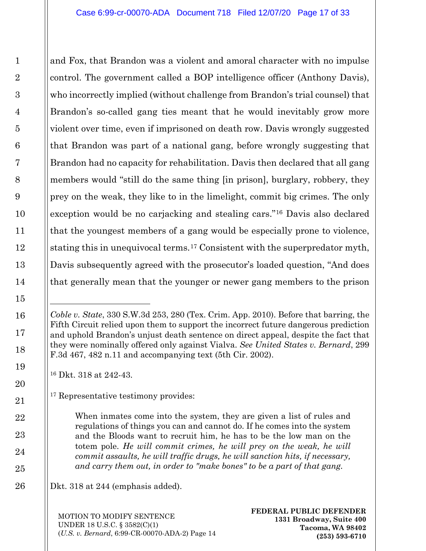and Fox, that Brandon was a violent and amoral character with no impulse control. The government called a BOP intelligence officer (Anthony Davis), who incorrectly implied (without challenge from Brandon's trial counsel) that Brandon's so-called gang ties meant that he would inevitably grow more violent over time, even if imprisoned on death row. Davis wrongly suggested that Brandon was part of a national gang, before wrongly suggesting that Brandon had no capacity for rehabilitation. Davis then declared that all gang members would "still do the same thing [in prison], burglary, robbery, they prey on the weak, they like to in the limelight, commit big crimes. The only exception would be no carjacking and stealing cars."[16](#page-16-0) Davis also declared that the youngest members of a gang would be especially prone to violence, stating this in unequivocal terms.[17](#page-16-1) Consistent with the superpredator myth, Davis subsequently agreed with the prosecutor's loaded question, "And does that generally mean that the younger or newer gang members to the prison

<span id="page-16-0"></span><sup>16</sup> Dkt. 318 at 242-43.

<span id="page-16-1"></span><sup>17</sup> Representative testimony provides:

When inmates come into the system, they are given a list of rules and regulations of things you can and cannot do. If he comes into the system and the Bloods want to recruit him, he has to be the low man on the totem pole. *He will commit crimes, he will prey on the weak, he will commit assaults, he will traffic drugs, he will sanction hits, if necessary, and carry them out, in order to "make bones" to be a part of that gang.*

Dkt. 318 at 244 (emphasis added).

MOTION TO MODIFY SENTENCE UNDER 18 U.S.C. § 3582(C)(1) (*U.S. v. Bernard*, 6:99-CR-00070-ADA-2) Page 14

l

*Coble v. State*, 330 S.W.3d 253, 280 (Tex. Crim. App. 2010). Before that barring, the Fifth Circuit relied upon them to support the incorrect future dangerous prediction and uphold Brandon's unjust death sentence on direct appeal, despite the fact that they were nominally offered only against Vialva. *See United States v. Bernard*, 299 F.3d 467, 482 n.11 and accompanying text (5th Cir. 2002).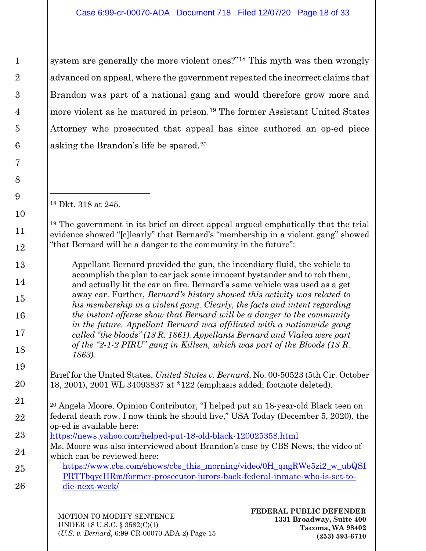system are generally the more violent ones?"[18](#page-17-0) This myth was then wrongly advanced on appeal, where the government repeated the incorrect claims that Brandon was part of a national gang and would therefore grow more and more violent as he matured in prison.[19](#page-17-1) The former Assistant United States Attorney who prosecuted that appeal has since authored an op-ed piece asking the Brandon's life be spared.[20](#page-17-2)

<sup>18</sup> Dkt. 318 at 245.

<span id="page-17-1"></span><span id="page-17-0"></span><sup>19</sup> The government in its brief on direct appeal argued emphatically that the trial evidence showed "[c]learly" that Bernard's "membership in a violent gang" showed "that Bernard will be a danger to the community in the future":

Appellant Bernard provided the gun, the incendiary fluid, the vehicle to accomplish the plan to car jack some innocent bystander and to rob them, and actually lit the car on fire. Bernard's same vehicle was used as a get away car. Further, *Bernard's history showed this activity was related to his membership in a violent gang. Clearly, the facts and intent regarding the instant offense show that Bernard will be a danger to the community in the future. Appellant Bernard was affiliated with a nationwide gang called "the bloods" (18 R. 1861). Appellants Bernard and Vialva were part of the "2-1-2 PIRU" gang in Killeen, which was part of the Bloods (18 R. 1863).*

Brief for the United States, *United States v. Bernard*, No. 00-50523 (5th Cir. October 18, 2001), 2001 WL 34093837 at \*122 (emphasis added; footnote deleted).

<span id="page-17-2"></span><sup>20</sup> Angela Moore, Opinion Contributor, "I helped put an 18-year-old Black teen on federal death row. I now think he should live," USA Today (December 5, 2020), the op-ed is available here:

<https://news.yahoo.com/helped-put-18-old-black-120025358.html> Ms. Moore was also interviewed about Brandon's case by CBS News, the video of which can be reviewed here:

[https://www.cbs.com/shows/cbs\\_this\\_morning/video/0H\\_qngRWe5zi2\\_w\\_ubQSI](https://www.cbs.com/shows/cbs_this_morning/video/0H_qngRWe5zi2_w_ubQSIPRTTbqycHRm/former-prosecutor-jurors-back-federal-inmate-who-is-set-to-die-next-week/) [PRTTbqycHRm/former-prosecutor-jurors-back-federal-inmate-who-is-set-to](https://www.cbs.com/shows/cbs_this_morning/video/0H_qngRWe5zi2_w_ubQSIPRTTbqycHRm/former-prosecutor-jurors-back-federal-inmate-who-is-set-to-die-next-week/)[die-next-week/](https://www.cbs.com/shows/cbs_this_morning/video/0H_qngRWe5zi2_w_ubQSIPRTTbqycHRm/former-prosecutor-jurors-back-federal-inmate-who-is-set-to-die-next-week/)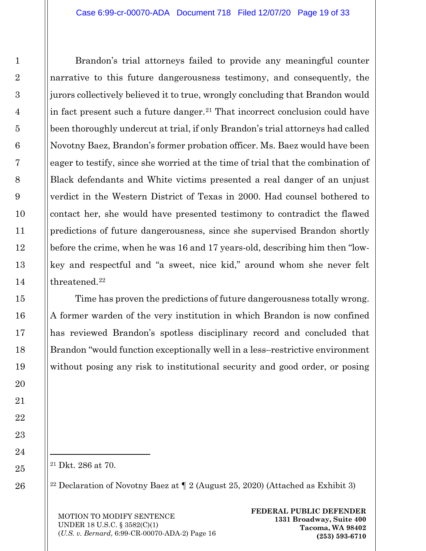Brandon's trial attorneys failed to provide any meaningful counter narrative to this future dangerousness testimony, and consequently, the jurors collectively believed it to true, wrongly concluding that Brandon would in fact present such a future danger.<sup>21</sup> That incorrect conclusion could have been thoroughly undercut at trial, if only Brandon's trial attorneys had called Novotny Baez, Brandon's former probation officer. Ms. Baez would have been eager to testify, since she worried at the time of trial that the combination of Black defendants and White victims presented a real danger of an unjust verdict in the Western District of Texas in 2000. Had counsel bothered to contact her, she would have presented testimony to contradict the flawed predictions of future dangerousness, since she supervised Brandon shortly before the crime, when he was 16 and 17 years-old, describing him then "lowkey and respectful and "a sweet, nice kid," around whom she never felt threatened.<sup>[22](#page-18-1)</sup>

Time has proven the predictions of future dangerousness totally wrong. A former warden of the very institution in which Brandon is now confined has reviewed Brandon's spotless disciplinary record and concluded that Brandon "would function exceptionally well in a less–restrictive environment without posing any risk to institutional security and good order, or posing

<span id="page-18-0"></span><sup>21</sup> Dkt. 286 at 70.

l

<span id="page-18-1"></span><sup>22</sup> Declaration of Novotny Baez at  $\P$  2 (August 25, 2020) (Attached as Exhibit 3)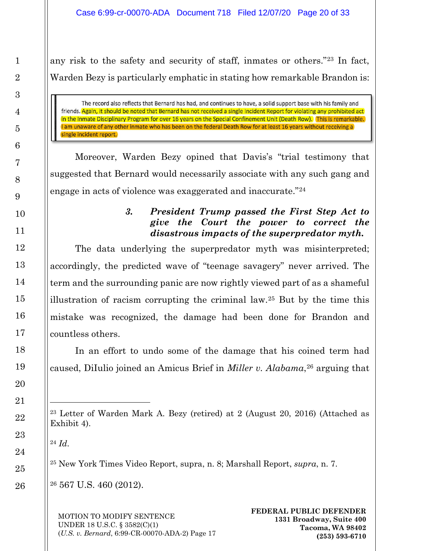any risk to the safety and security of staff, inmates or others."[23](#page-19-1) In fact, Warden Bezy is particularly emphatic in stating how remarkable Brandon is:

The record also reflects that Bernard has had, and continues to have, a solid support base with his family and friends. Again, it should be noted that Bernard has not received a single Incident Report for violating any prohibited act in the Inmate Disciplinary Program for over 16 years on the Special Confinement Unit (Death Row). This is remarkable. I am unaware of any other inmate who has been on the federal Death Row for at least 16 years without receiving a single incident report.

<span id="page-19-0"></span>Moreover, Warden Bezy opined that Davis's "trial testimony that suggested that Bernard would necessarily associate with any such gang and engage in acts of violence was exaggerated and inaccurate."[24](#page-19-2)

### *3. President Trump passed the First Step Act to give the Court the power to correct the disastrous impacts of the superpredator myth.*

The data underlying the superpredator myth was misinterpreted; accordingly, the predicted wave of "teenage savagery" never arrived. The term and the surrounding panic are now rightly viewed part of as a shameful illustration of racism corrupting the criminal law.[25](#page-19-3) But by the time this mistake was recognized, the damage had been done for Brandon and countless others.

In an effort to undo some of the damage that his coined term had caused, DiIulio joined an Amicus Brief in *Miller v. Alabama*,[26](#page-19-4) arguing that

<span id="page-19-2"></span><sup>24</sup> *Id*.

 $\overline{a}$ 

<span id="page-19-3"></span><sup>25</sup> New York Times Video Report, supra, n. 8; Marshall Report, *supra*, n. 7.

<span id="page-19-4"></span><sup>26</sup> 567 U.S. 460 (2012).

<span id="page-19-1"></span><sup>23</sup> Letter of Warden Mark A. Bezy (retired) at 2 (August 20, 2016) (Attached as Exhibit 4).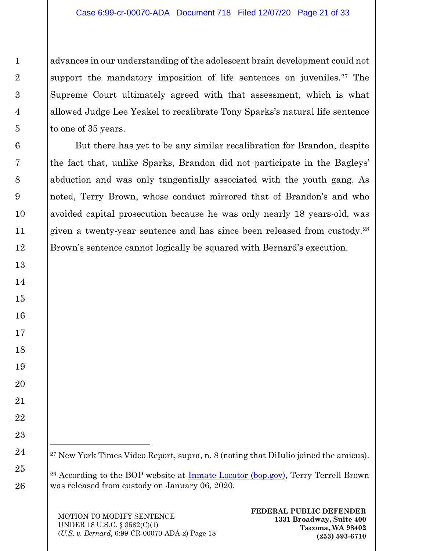advances in our understanding of the adolescent brain development could not support the mandatory imposition of life sentences on juveniles.<sup>27</sup> The Supreme Court ultimately agreed with that assessment, which is what allowed Judge Lee Yeakel to recalibrate Tony Sparks's natural life sentence to one of 35 years.

But there has yet to be any similar recalibration for Brandon, despite the fact that, unlike Sparks, Brandon did not participate in the Bagleys' abduction and was only tangentially associated with the youth gang. As noted, Terry Brown, whose conduct mirrored that of Brandon's and who avoided capital prosecution because he was only nearly 18 years-old, was given a twenty-year sentence and has since been released from custody.[28](#page-20-1) Brown's sentence cannot logically be squared with Bernard's execution.

<span id="page-20-0"></span><sup>27</sup> New York Times Video Report, supra, n. 8 (noting that DiIulio joined the amicus).

<span id="page-20-1"></span><sup>28</sup> According to the BOP website at [Inmate Locator \(bop.gov\),](https://www.bop.gov/inmateloc/) Terry Terrell Brown was released from custody on January 06, 2020.

MOTION TO MODIFY SENTENCE UNDER 18 U.S.C. § 3582(C)(1) (*U.S. v. Bernard*, 6:99-CR-00070-ADA-2) Page 18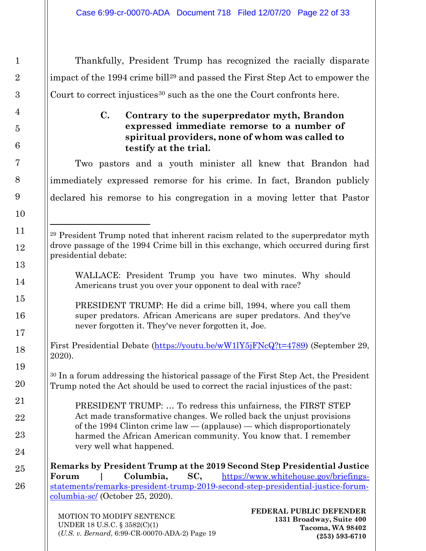<span id="page-21-0"></span>Thankfully, President Trump has recognized the racially disparate impact of the 1994 crime bill[29](#page-21-1) and passed the First Step Act to empower the Court to correct injustices<sup>[30](#page-21-2)</sup> such as the one the Court confronts here.

### **C. Contrary to the superpredator myth, Brandon expressed immediate remorse to a number of spiritual providers, none of whom was called to testify at the trial.**

Two pastors and a youth minister all knew that Brandon had immediately expressed remorse for his crime. In fact, Brandon publicly declared his remorse to his congregation in a moving letter that Pastor

WALLACE: President Trump you have two minutes. Why should Americans trust you over your opponent to deal with race?

PRESIDENT TRUMP: He did a crime bill, 1994, where you call them super predators. African Americans are super predators. And they've never forgotten it. They've never forgotten it, Joe.

First Presidential Debate [\(https://youtu.be/wW1lY5jFNcQ?t=4789\)](https://youtu.be/wW1lY5jFNcQ?t=4789) (September 29, 2020).

<span id="page-21-2"></span><sup>30</sup> In a forum addressing the historical passage of the First Step Act, the President Trump noted the Act should be used to correct the racial injustices of the past:

PRESIDENT TRUMP: … To redress this unfairness, the FIRST STEP Act made transformative changes. We rolled back the unjust provisions of the 1994 Clinton crime law — (applause) — which disproportionately harmed the African American community. You know that. I remember very well what happened.

**Remarks by President Trump at the 2019 Second Step Presidential Justice Forum | Columbia, SC,** [https://www.whitehouse.gov/briefings](https://www.whitehouse.gov/briefings-statements/remarks-president-trump-2019-second-step-presidential-justice-forum-columbia-sc/)[statements/remarks-president-trump-2019-second-step-presidential-justice-forum](https://www.whitehouse.gov/briefings-statements/remarks-president-trump-2019-second-step-presidential-justice-forum-columbia-sc/)[columbia-sc/](https://www.whitehouse.gov/briefings-statements/remarks-president-trump-2019-second-step-presidential-justice-forum-columbia-sc/) (October 25, 2020).

MOTION TO MODIFY SENTENCE UNDER 18 U.S.C. § 3582(C)(1) (*U.S. v. Bernard*, 6:99-CR-00070-ADA-2) Page 19

<span id="page-21-1"></span><sup>29</sup> President Trump noted that inherent racism related to the superpredator myth drove passage of the 1994 Crime bill in this exchange, which occurred during first presidential debate: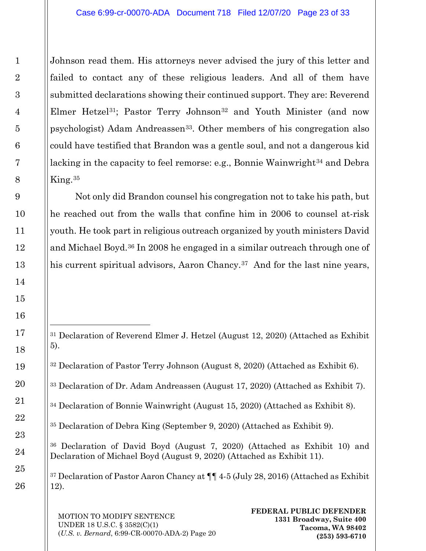Johnson read them. His attorneys never advised the jury of this letter and failed to contact any of these religious leaders. And all of them have submitted declarations showing their continued support. They are: Reverend Elmer Hetzel<sup>31</sup>; Pastor Terry Johnson<sup>[32](#page-22-1)</sup> and Youth Minister (and now psychologist) Adam Andreassen[33](#page-22-2). Other members of his congregation also could have testified that Brandon was a gentle soul, and not a dangerous kid lacking in the capacity to feel remorse: e.g., Bonnie Wainwright<sup>[34](#page-22-3)</sup> and Debra  $King.35$  $King.35$ 

Not only did Brandon counsel his congregation not to take his path, but he reached out from the walls that confine him in 2006 to counsel at-risk youth. He took part in religious outreach organized by youth ministers David and Michael Boyd.[36](#page-22-5) In 2008 he engaged in a similar outreach through one of his current spiritual advisors, Aaron Chancy.<sup>[37](#page-22-6)</sup> And for the last nine years,

<span id="page-22-2"></span><sup>33</sup> Declaration of Dr. Adam Andreassen (August 17, 2020) (Attached as Exhibit 7).

<span id="page-22-6"></span><sup>37</sup> Declaration of Pastor Aaron Chancy at ¶¶ 4-5 (July 28, 2016) (Attached as Exhibit 12).

MOTION TO MODIFY SENTENCE UNDER 18 U.S.C. § 3582(C)(1) (*U.S. v. Bernard*, 6:99-CR-00070-ADA-2) Page 20

<span id="page-22-0"></span><sup>31</sup> Declaration of Reverend Elmer J. Hetzel (August 12, 2020) (Attached as Exhibit 5).

<span id="page-22-1"></span><sup>32</sup> Declaration of Pastor Terry Johnson (August 8, 2020) (Attached as Exhibit 6).

<span id="page-22-3"></span><sup>34</sup> Declaration of Bonnie Wainwright (August 15, 2020) (Attached as Exhibit 8).

<span id="page-22-4"></span><sup>35</sup> Declaration of Debra King (September 9, 2020) (Attached as Exhibit 9).

<span id="page-22-5"></span><sup>36</sup> Declaration of David Boyd (August 7, 2020) (Attached as Exhibit 10) and Declaration of Michael Boyd (August 9, 2020) (Attached as Exhibit 11).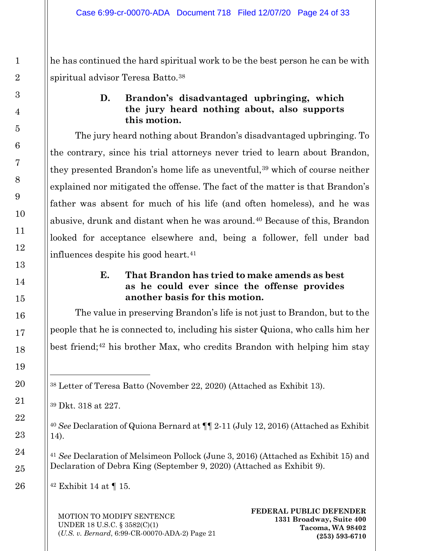<span id="page-23-0"></span>he has continued the hard spiritual work to be the best person he can be with spiritual advisor Teresa Batto.[38](#page-23-2)

# **D. Brandon's disadvantaged upbringing, which the jury heard nothing about, also supports this motion.**

The jury heard nothing about Brandon's disadvantaged upbringing. To the contrary, since his trial attorneys never tried to learn about Brandon, they presented Brandon's home life as uneventful,<sup>[39](#page-23-3)</sup> which of course neither explained nor mitigated the offense. The fact of the matter is that Brandon's father was absent for much of his life (and often homeless), and he was abusive, drunk and distant when he was around.<sup>[40](#page-23-4)</sup> Because of this, Brandon looked for acceptance elsewhere and, being a follower, fell under bad influences despite his good heart.[41](#page-23-5)

## **E. That Brandon has tried to make amends as best as he could ever since the offense provides another basis for this motion.**

<span id="page-23-1"></span>The value in preserving Brandon's life is not just to Brandon, but to the people that he is connected to, including his sister Quiona, who calls him her best friend;<sup>[42](#page-23-6)</sup> his brother Max, who credits Brandon with helping him stay

<span id="page-23-2"></span><sup>38</sup> Letter of Teresa Batto (November 22, 2020) (Attached as Exhibit 13).

<span id="page-23-3"></span><sup>39</sup> Dkt. 318 at 227.

 $\overline{a}$ 

<span id="page-23-4"></span><sup>40</sup> *See* Declaration of Quiona Bernard at ¶¶ 2-11 (July 12, 2016) (Attached as Exhibit 14).

<span id="page-23-5"></span><sup>41</sup> *See* Declaration of Melsimeon Pollock (June 3, 2016) (Attached as Exhibit 15) and Declaration of Debra King (September 9, 2020) (Attached as Exhibit 9).

<span id="page-23-6"></span> $42$  Exhibit 14 at  $\P$  15.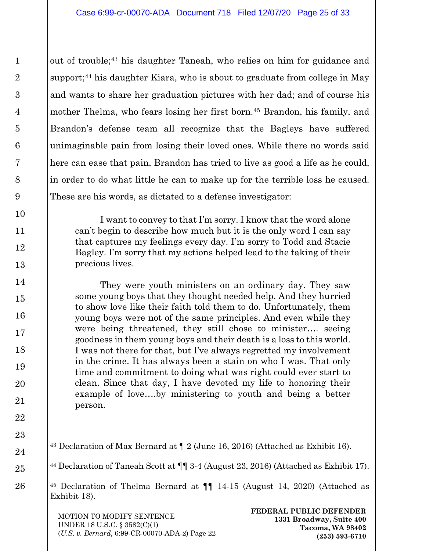out of trouble;[43](#page-24-0) his daughter Taneah, who relies on him for guidance and support;<sup>[44](#page-24-1)</sup> his daughter Kiara, who is about to graduate from college in May and wants to share her graduation pictures with her dad; and of course his mother Thelma, who fears losing her first born.<sup>45</sup> Brandon, his family, and Brandon's defense team all recognize that the Bagleys have suffered unimaginable pain from losing their loved ones. While there no words said here can ease that pain, Brandon has tried to live as good a life as he could, in order to do what little he can to make up for the terrible loss he caused. These are his words, as dictated to a defense investigator:

I want to convey to that I'm sorry. I know that the word alone can't begin to describe how much but it is the only word I can say that captures my feelings every day. I'm sorry to Todd and Stacie Bagley. I'm sorry that my actions helped lead to the taking of their precious lives.

They were youth ministers on an ordinary day. They saw some young boys that they thought needed help. And they hurried to show love like their faith told them to do. Unfortunately, them young boys were not of the same principles. And even while they were being threatened, they still chose to minister…. seeing goodness in them young boys and their death is a loss to this world. I was not there for that, but I've always regretted my involvement in the crime. It has always been a stain on who I was. That only time and commitment to doing what was right could ever start to clean. Since that day, I have devoted my life to honoring their example of love….by ministering to youth and being a better person.

<span id="page-24-1"></span><sup>44</sup> Declaration of Taneah Scott at ¶¶ 3-4 (August 23, 2016) (Attached as Exhibit 17).

<span id="page-24-2"></span><sup>45</sup> Declaration of Thelma Bernard at ¶¶ 14-15 (August 14, 2020) (Attached as Exhibit 18).

MOTION TO MODIFY SENTENCE UNDER 18 U.S.C. § 3582(C)(1) (*U.S. v. Bernard*, 6:99-CR-00070-ADA-2) Page 22

<span id="page-24-0"></span><sup>43</sup> Declaration of Max Bernard at ¶ 2 (June 16, 2016) (Attached as Exhibit 16).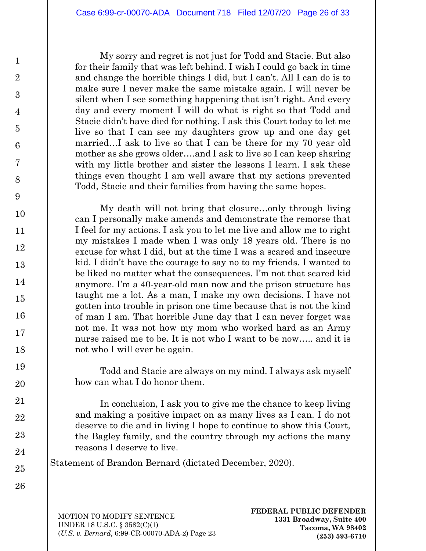My sorry and regret is not just for Todd and Stacie. But also for their family that was left behind. I wish I could go back in time and change the horrible things I did, but I can't. All I can do is to make sure I never make the same mistake again. I will never be silent when I see something happening that isn't right. And every day and every moment I will do what is right so that Todd and Stacie didn't have died for nothing. I ask this Court today to let me live so that I can see my daughters grow up and one day get married…I ask to live so that I can be there for my 70 year old mother as she grows older….and I ask to live so I can keep sharing with my little brother and sister the lessons I learn. I ask these things even thought I am well aware that my actions prevented Todd, Stacie and their families from having the same hopes.

My death will not bring that closure…only through living can I personally make amends and demonstrate the remorse that I feel for my actions. I ask you to let me live and allow me to right my mistakes I made when I was only 18 years old. There is no excuse for what I did, but at the time I was a scared and insecure kid. I didn't have the courage to say no to my friends. I wanted to be liked no matter what the consequences. I'm not that scared kid anymore. I'm a 40-year-old man now and the prison structure has taught me a lot. As a man, I make my own decisions. I have not gotten into trouble in prison one time because that is not the kind of man I am. That horrible June day that I can never forget was not me. It was not how my mom who worked hard as an Army nurse raised me to be. It is not who I want to be now….. and it is not who I will ever be again.

Todd and Stacie are always on my mind. I always ask myself how can what I do honor them.

In conclusion, I ask you to give me the chance to keep living and making a positive impact on as many lives as I can. I do not deserve to die and in living I hope to continue to show this Court, the Bagley family, and the country through my actions the many reasons I deserve to live.

Statement of Brandon Bernard (dictated December, 2020).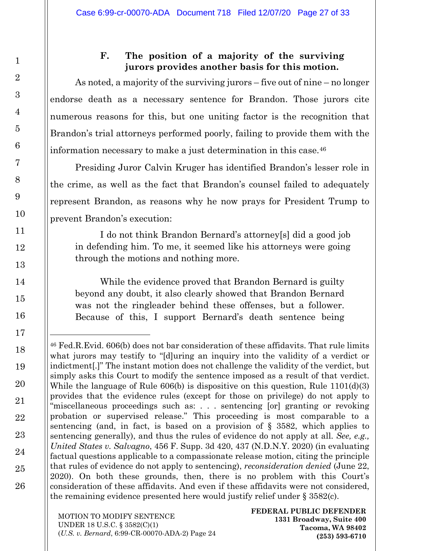## **F. The position of a majority of the surviving jurors provides another basis for this motion.**

<span id="page-26-0"></span>As noted, a majority of the surviving jurors – five out of nine – no longer endorse death as a necessary sentence for Brandon. Those jurors cite numerous reasons for this, but one uniting factor is the recognition that Brandon's trial attorneys performed poorly, failing to provide them with the information necessary to make a just determination in this case.[46](#page-26-1)

Presiding Juror Calvin Kruger has identified Brandon's lesser role in the crime, as well as the fact that Brandon's counsel failed to adequately represent Brandon, as reasons why he now prays for President Trump to prevent Brandon's execution:

I do not think Brandon Bernard's attorney[s] did a good job in defending him. To me, it seemed like his attorneys were going through the motions and nothing more.

While the evidence proved that Brandon Bernard is guilty beyond any doubt, it also clearly showed that Brandon Bernard was not the ringleader behind these offenses, but a follower. Because of this, I support Bernard's death sentence being

<span id="page-26-1"></span><sup>46</sup> Fed.R.Evid. 606(b) does not bar consideration of these affidavits. That rule limits what jurors may testify to "[d]uring an inquiry into the validity of a verdict or indictment[.]" The instant motion does not challenge the validity of the verdict, but simply asks this Court to modify the sentence imposed as a result of that verdict. While the language of Rule 606(b) is dispositive on this question, Rule 1101(d)(3) provides that the evidence rules (except for those on privilege) do not apply to "miscellaneous proceedings such as: . . . sentencing [or] granting or revoking probation or supervised release." This proceeding is most comparable to a sentencing (and, in fact, is based on a provision of § 3582, which applies to sentencing generally), and thus the rules of evidence do not apply at all. *See, e.g., United States v. Salvagno*, 456 F. Supp. 3d 420, 437 (N.D.N.Y. 2020) (in evaluating factual questions applicable to a compassionate release motion, citing the principle that rules of evidence do not apply to sentencing), *reconsideration denied* (June 22, 2020). On both these grounds, then, there is no problem with this Court's consideration of these affidavits. And even if these affidavits were not considered, the remaining evidence presented here would justify relief under § 3582(c).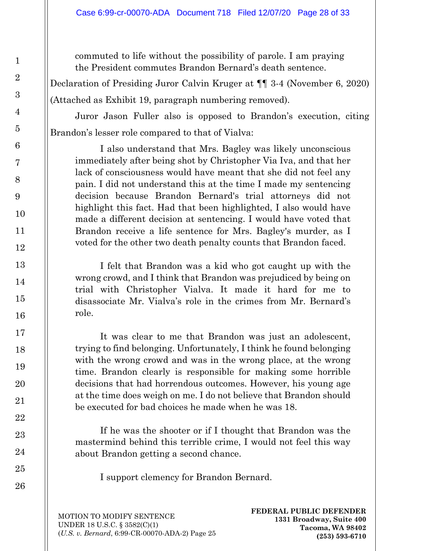commuted to life without the possibility of parole. I am praying the President commutes Brandon Bernard's death sentence.

Declaration of Presiding Juror Calvin Kruger at ¶¶ 3-4 (November 6, 2020) (Attached as Exhibit 19, paragraph numbering removed).

Juror Jason Fuller also is opposed to Brandon's execution, citing Brandon's lesser role compared to that of Vialva:

I also understand that Mrs. Bagley was likely unconscious immediately after being shot by Christopher Via Iva, and that her lack of consciousness would have meant that she did not feel any pain. I did not understand this at the time I made my sentencing decision because Brandon Bernard's trial attorneys did not highlight this fact. Had that been highlighted, I also would have made a different decision at sentencing. I would have voted that Brandon receive a life sentence for Mrs. Bagley's murder, as I voted for the other two death penalty counts that Brandon faced.

I felt that Brandon was a kid who got caught up with the wrong crowd, and I think that Brandon was prejudiced by being on trial with Christopher Vialva. It made it hard for me to disassociate Mr. Vialva's role in the crimes from Mr. Bernard's role.

It was clear to me that Brandon was just an adolescent, trying to find belonging. Unfortunately, I think he found belonging with the wrong crowd and was in the wrong place, at the wrong time. Brandon clearly is responsible for making some horrible decisions that had horrendous outcomes. However, his young age at the time does weigh on me. I do not believe that Brandon should be executed for bad choices he made when he was 18.

If he was the shooter or if I thought that Brandon was the mastermind behind this terrible crime, I would not feel this way about Brandon getting a second chance.

I support clemency for Brandon Bernard.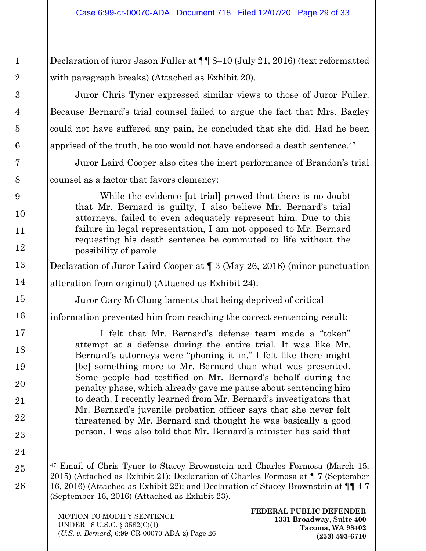Declaration of juror Jason Fuller at ¶¶ 8–10 (July 21, 2016) (text reformatted with paragraph breaks) (Attached as Exhibit 20).

Juror Chris Tyner expressed similar views to those of Juror Fuller. Because Bernard's trial counsel failed to argue the fact that Mrs. Bagley could not have suffered any pain, he concluded that she did. Had he been apprised of the truth, he too would not have endorsed a death sentence.<sup>[47](#page-28-0)</sup>

Juror Laird Cooper also cites the inert performance of Brandon's trial counsel as a factor that favors clemency:

While the evidence [at trial] proved that there is no doubt that Mr. Bernard is guilty, I also believe Mr. Bernard's trial attorneys, failed to even adequately represent him. Due to this failure in legal representation, I am not opposed to Mr. Bernard requesting his death sentence be commuted to life without the possibility of parole.

Declaration of Juror Laird Cooper at ¶ 3 (May 26, 2016) (minor punctuation

alteration from original) (Attached as Exhibit 24).

Juror Gary McClung laments that being deprived of critical

information prevented him from reaching the correct sentencing result:

I felt that Mr. Bernard's defense team made a "token" attempt at a defense during the entire trial. It was like Mr. Bernard's attorneys were "phoning it in." I felt like there might [be] something more to Mr. Bernard than what was presented. Some people had testified on Mr. Bernard's behalf during the penalty phase, which already gave me pause about sentencing him to death. I recently learned from Mr. Bernard's investigators that Mr. Bernard's juvenile probation officer says that she never felt threatened by Mr. Bernard and thought he was basically a good person. I was also told that Mr. Bernard's minister has said that

<span id="page-28-0"></span><sup>47</sup> Email of Chris Tyner to Stacey Brownstein and Charles Formosa (March 15, 2015) (Attached as Exhibit 21); Declaration of Charles Formosa at ¶ 7 (September 16, 2016) (Attached as Exhibit 22); and Declaration of Stacey Brownstein at ¶¶ 4-7 (September 16, 2016) (Attached as Exhibit 23).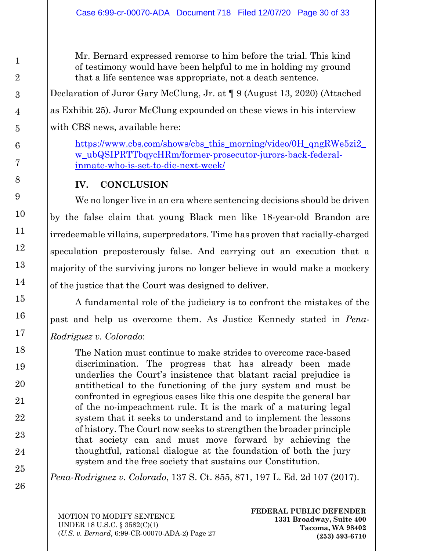Mr. Bernard expressed remorse to him before the trial. This kind of testimony would have been helpful to me in holding my ground that a life sentence was appropriate, not a death sentence.

Declaration of Juror Gary McClung, Jr. at ¶ 9 (August 13, 2020) (Attached as Exhibit 25). Juror McClung expounded on these views in his interview with CBS news, available here:

[https://www.cbs.com/shows/cbs\\_this\\_morning/video/0H\\_qngRWe5zi2\\_](https://www.cbs.com/shows/cbs_this_morning/video/0H_qngRWe5zi2_w_ubQSIPRTTbqycHRm/former-prosecutor-jurors-back-federal-inmate-who-is-set-to-die-next-week/) [w\\_ubQSIPRTTbqycHRm/former-prosecutor-jurors-back-federal](https://www.cbs.com/shows/cbs_this_morning/video/0H_qngRWe5zi2_w_ubQSIPRTTbqycHRm/former-prosecutor-jurors-back-federal-inmate-who-is-set-to-die-next-week/)[inmate-who-is-set-to-die-next-week/](https://www.cbs.com/shows/cbs_this_morning/video/0H_qngRWe5zi2_w_ubQSIPRTTbqycHRm/former-prosecutor-jurors-back-federal-inmate-who-is-set-to-die-next-week/)

# **IV. CONCLUSION**

<span id="page-29-0"></span>We no longer live in an era where sentencing decisions should be driven by the false claim that young Black men like 18-year-old Brandon are irredeemable villains, superpredators. Time has proven that racially-charged speculation preposterously false. And carrying out an execution that a majority of the surviving jurors no longer believe in would make a mockery of the justice that the Court was designed to deliver.

A fundamental role of the judiciary is to confront the mistakes of the past and help us overcome them. As Justice Kennedy stated in *Pena-Rodriguez v. Colorado*:

The Nation must continue to make strides to overcome race-based discrimination. The progress that has already been made underlies the Court's insistence that blatant racial prejudice is antithetical to the functioning of the jury system and must be confronted in egregious cases like this one despite the general bar of the no-impeachment rule. It is the mark of a maturing legal system that it seeks to understand and to implement the lessons of history. The Court now seeks to strengthen the broader principle that society can and must move forward by achieving the thoughtful, rational dialogue at the foundation of both the jury system and the free society that sustains our Constitution.

*Pena-Rodriguez v. Colorado*, 137 S. Ct. 855, 871, 197 L. Ed. 2d 107 (2017).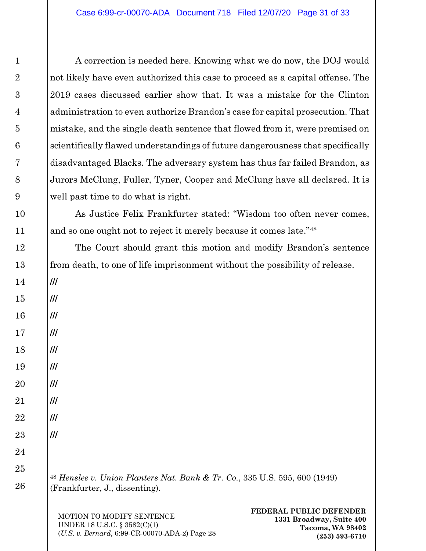A correction is needed here. Knowing what we do now, the DOJ would not likely have even authorized this case to proceed as a capital offense. The 2019 cases discussed earlier show that. It was a mistake for the Clinton administration to even authorize Brandon's case for capital prosecution. That mistake, and the single death sentence that flowed from it, were premised on scientifically flawed understandings of future dangerousness that specifically disadvantaged Blacks. The adversary system has thus far failed Brandon, as Jurors McClung, Fuller, Tyner, Cooper and McClung have all declared. It is well past time to do what is right.

As Justice Felix Frankfurter stated: "Wisdom too often never comes, and so one ought not to reject it merely because it comes late."[48](#page-30-1)

The Court should grant this motion and modify Brandon's sentence from death, to one of life imprisonment without the possibility of release.

<span id="page-30-1"></span><sup>48</sup> *Henslee v. Union Planters Nat. Bank & Tr. Co.*, 335 U.S. 595, 600 (1949) (Frankfurter, J., dissenting).

MOTION TO MODIFY SENTENCE UNDER 18 U.S.C. § 3582(C)(1) (*U.S. v. Bernard*, 6:99-CR-00070-ADA-2) Page 28

<span id="page-30-0"></span>**///**

**///**

**///**

**///**

**///**

**///**

**///**

**///**

**///**

**///**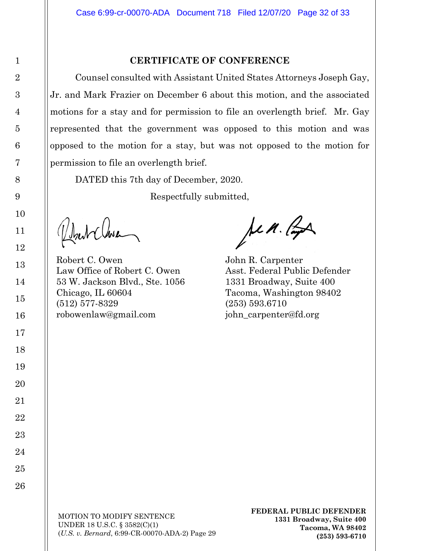#### **CERTIFICATE OF CONFERENCE**

Counsel consulted with Assistant United States Attorneys Joseph Gay, Jr. and Mark Frazier on December 6 about this motion, and the associated motions for a stay and for permission to file an overlength brief. Mr. Gay represented that the government was opposed to this motion and was opposed to the motion for a stay, but was not opposed to the motion for permission to file an overlength brief.

DATED this 7th day of December, 2020.

Respectfully submitted,

Robert C. Owen John R. Carpenter Law Office of Robert C. Owen Asst. Federal Public Defender 53 W. Jackson Blvd., Ste. 1056 1331 Broadway, Suite 400 Chicago, IL 60604 Tacoma, Washington 98402 (512) 577-8329 (253) 593.6710 robowenlaw@gmail.com iohn carpenter@fd.org

Jen. Ra